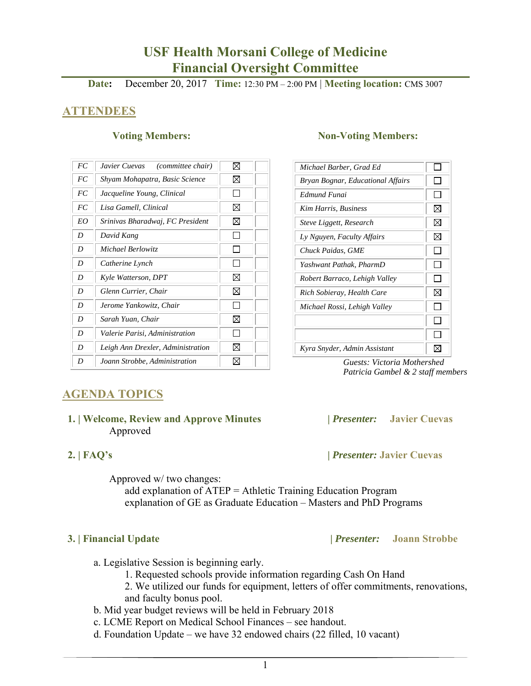# **USF Health Morsani College of Medicine Financial Oversight Committee**

**Date:** December 20, 2017 **Time:** 12:30 PM – 2:00 PM | **Meeting location:** CMS 3007

## **ATTENDEES**

| FC | Javier Cuevas<br>(committee chair) | ⊠            |  |
|----|------------------------------------|--------------|--|
| FC | Shyam Mohapatra, Basic Science     | ⊠            |  |
| FC | Jacqueline Young, Clinical         | ΙI           |  |
| FC | Lisa Gamell, Clinical              | ⊠            |  |
| EO | Srinivas Bharadwaj, FC President   | ⊠            |  |
| D  | David Kang                         |              |  |
| D  | Michael Berlowitz                  |              |  |
| D  | Catherine Lynch                    |              |  |
| D  | Kyle Watterson, DPT                | ⊠            |  |
| D  | Glenn Currier, Chair               | ⊠            |  |
| D  | Jerome Yankowitz, Chair            | ΙI           |  |
| D  | Sarah Yuan, Chair                  | ⊠            |  |
| D  | Valerie Parisi, Administration     | $\mathsf{L}$ |  |
| D  | Leigh Ann Drexler, Administration  | ⊠            |  |
| D  | Joann Strobbe, Administration      | ⊠            |  |

#### **Voting Members:** Non-Voting Members:

| Michael Barber, Grad Ed           |   |
|-----------------------------------|---|
| Bryan Bognar, Educational Affairs |   |
| Edmund Funai                      |   |
| Kim Harris, Business              | ⊠ |
| Steve Liggett, Research           | ⊠ |
| Ly Nguyen, Faculty Affairs        | ⊠ |
| Chuck Paidas, GME                 |   |
| Yashwant Pathak, PharmD           |   |
| Robert Barraco, Lehigh Valley     |   |
| Rich Sobieray, Health Care        | ⊠ |
| Michael Rossi, Lehigh Valley      |   |
|                                   |   |
|                                   |   |
| Kyra Snyder, Admin Assistant      |   |

 *Guests: Victoria Mothershed Patricia Gambel & 2 staff members* 

## **AGENDA TOPICS**

### **1. | Welcome, Review and Approve Minutes****|** *Presenter:* **Javier Cuevas**  Approved

 **2. | FAQ's |** *Presenter:* **Javier Cuevas** 

Approved w/ two changes:

add explanation of ATEP = Athletic Training Education Program explanation of GE as Graduate Education – Masters and PhD Programs

 **3. | Financial Update |** *Presenter:* **Joann Strobbe** 

- a. Legislative Session is beginning early.
	- 1. Requested schools provide information regarding Cash On Hand
	- 2. We utilized our funds for equipment, letters of offer commitments, renovations, and faculty bonus pool.
- b. Mid year budget reviews will be held in February 2018
- c. LCME Report on Medical School Finances see handout.
- d. Foundation Update we have 32 endowed chairs (22 filled, 10 vacant)
	- 1